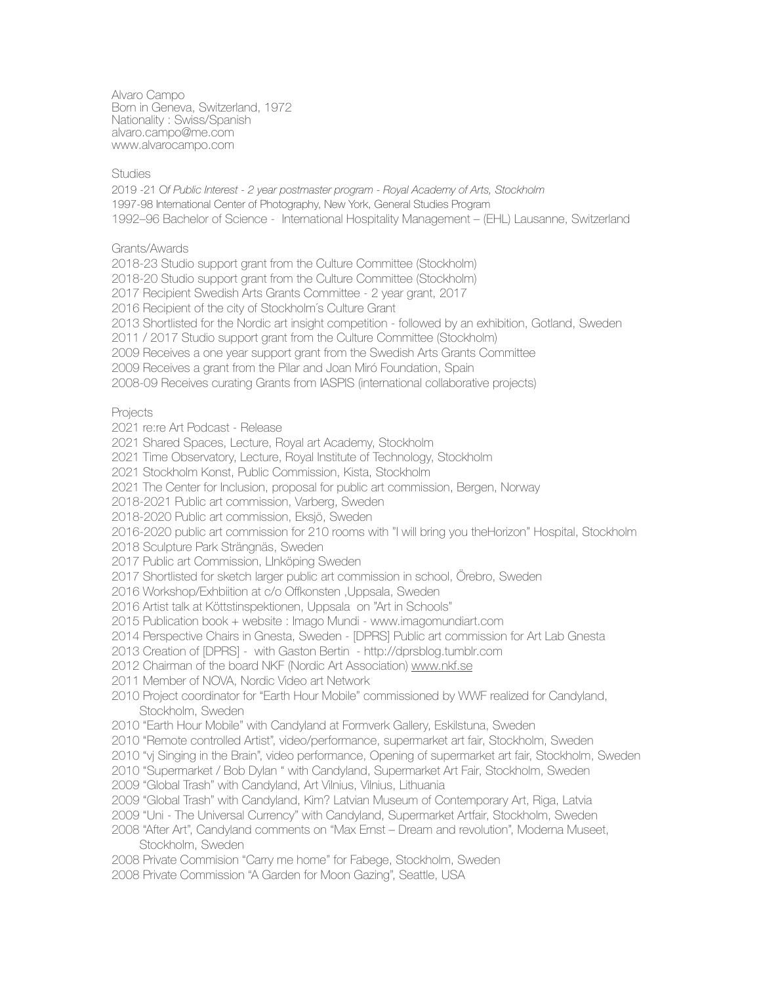Alvaro Campo Born in Geneva, Switzerland, 1972 Nationality : Swiss/Spanish [alvaro.campo@me.com](mailto:alvaro@glimp.se) www.alvarocampo.com

## Studies

2019 -21 O*f Public Interest - 2 year postmaster program - Royal Academy of Arts, Stockholm* 1997-98 International Center of Photography, New York, General Studies Program 1992–96 Bachelor of Science - International Hospitality Management – (EHL) Lausanne, Switzerland

Grants/Awards

2018-23 Studio support grant from the Culture Committee (Stockholm)

2018-20 Studio support grant from the Culture Committee (Stockholm)

2017 Recipient Swedish Arts Grants Committee - 2 year grant, 2017

2016 Recipient of the city of Stockholm´s Culture Grant

2013 Shortlisted for the Nordic art insight competition - followed by an exhibition, Gotland, Sweden

2011 / 2017 Studio support grant from the Culture Committee (Stockholm)

2009 Receives a one year support grant from the Swedish Arts Grants Committee

2009 Receives a grant from the Pilar and Joan Miró Foundation, Spain

2008-09 Receives curating Grants from IASPIS (international collaborative projects)

**Projects** 

2021 re:re Art Podcast - Release

2021 Shared Spaces, Lecture, Royal art Academy, Stockholm

2021 Time Observatory, Lecture, Royal Institute of Technology, Stockholm

2021 Stockholm Konst, Public Commission, Kista, Stockholm

2021 The Center for Inclusion, proposal for public art commission, Bergen, Norway

2018-2021 Public art commission, Varberg, Sweden

2018-2020 Public art commission, Eksjö, Sweden

2016-2020 public art commission for 210 rooms with "I will bring you theHorizon" Hospital, Stockholm

2018 Sculpture Park Strängnäs, Sweden

2017 Public art Commission, LInköping Sweden

2017 Shortlisted for sketch larger public art commission in school, Örebro, Sweden

2016 Workshop/Exhbiition at c/o Offkonsten ,Uppsala, Sweden

2016 Artist talk at Köttstinspektionen, Uppsala on "Art in Schools"

2015 Publication book + website : Imago Mundi - www.imagomundiart.com

2014 Perspective Chairs in Gnesta, Sweden - [DPRS] Public art commission for Art Lab Gnesta

2013 Creation of [DPRS] - with Gaston Bertin - http://dprsblog.tumblr.com

2012 Chairman of the board NKF (Nordic Art Association) [www.nkf.se](http://www.nkf.se)

2011 Member of NOVA, Nordic Video art Network

2010 Project coordinator for "Earth Hour Mobile" commissioned by WWF realized for Candyland, Stockholm, Sweden

2010 "Earth Hour Mobile" with Candyland at Formverk Gallery, Eskilstuna, Sweden

2010 "Remote controlled Artist", video/performance, supermarket art fair, Stockholm, Sweden

2010 "vj Singing in the Brain", video performance, Opening of supermarket art fair, Stockholm, Sweden

2010 "Supermarket / Bob Dylan " with Candyland, Supermarket Art Fair, Stockholm, Sweden

2009 "Global Trash" with Candyland, Art Vilnius, Vilnius, Lithuania

2009 "Global Trash" with Candyland, Kim? Latvian Museum of Contemporary Art, Riga, Latvia

2009 "Uni - The Universal Currency" with Candyland, Supermarket Artfair, Stockholm, Sweden

2008 "After Art", Candyland comments on "Max Ernst – Dream and revolution", Moderna Museet, Stockholm, Sweden

2008 Private Commision "Carry me home" for Fabege, Stockholm, Sweden

2008 Private Commission "A Garden for Moon Gazing", Seattle, USA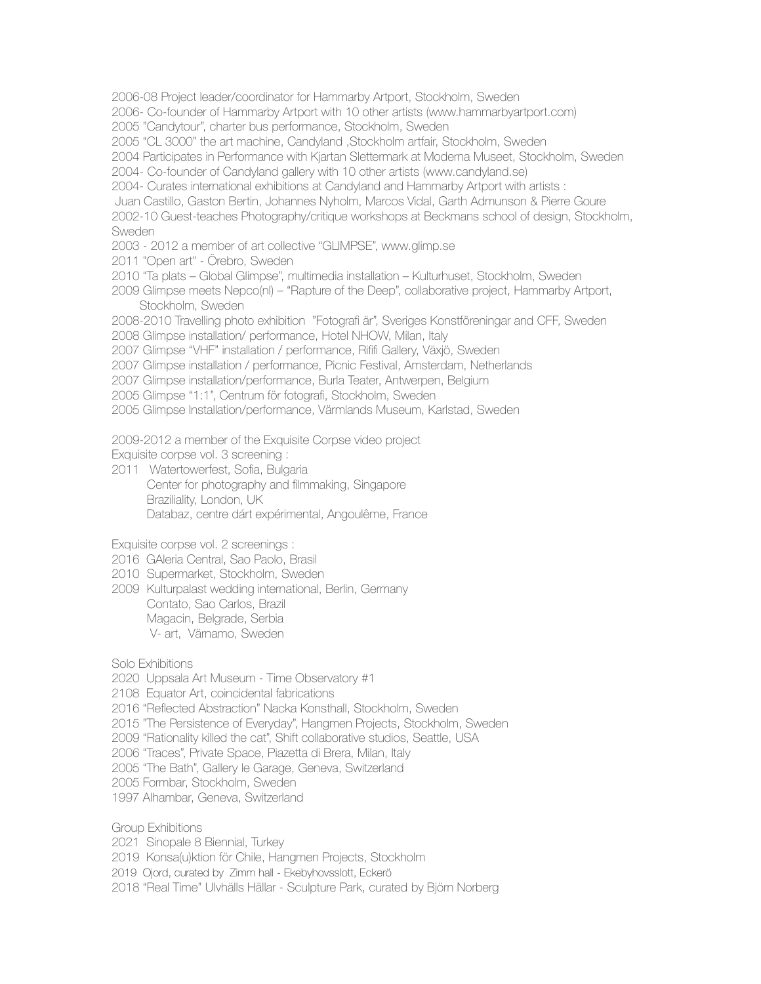2006-08 Project leader/coordinator for Hammarby Artport, Stockholm, Sweden

2006- Co-founder of Hammarby Artport with 10 other artists [\(www.hammarbyartport.com\)](http://www.hammarbyartport.com)

2005 "Candytour", charter bus performance, Stockholm, Sweden

2005 "CL 3000" the art machine, Candyland ,Stockholm artfair, Stockholm, Sweden

2004 Participates in Performance with Kjartan Slettermark at Moderna Museet, Stockholm, Sweden

2004- Co-founder of Candyland gallery with 10 other artists ([www.candyland.se](http://www.candyland.se))

2004- Curates international exhibitions at Candyland and Hammarby Artport with artists :

Juan Castillo, Gaston Bertin, Johannes Nyholm, Marcos Vidal, Garth Admunson & Pierre Goure

2002-10 Guest-teaches Photography/critique workshops at Beckmans school of design, Stockholm, **Sweden** 

2003 - 2012 a member of art collective "GLIMPSE", [www.glimp.se](http://www.glimp.se)

2011 "Open art" - Örebro, Sweden

2010 "Ta plats – Global Glimpse", multimedia installation – Kulturhuset, Stockholm, Sweden

2009 Glimpse meets Nepco(nl) – "Rapture of the Deep", collaborative project, Hammarby Artport, Stockholm, Sweden

2008-2010 Travelling photo exhibition "Fotografi är", Sveriges Konstföreningar and CFF, Sweden

2008 Glimpse installation/ performance, Hotel NHOW, Milan, Italy

2007 Glimpse "VHF" installation / performance, Rififi Gallery, Växjö, Sweden

2007 Glimpse installation / performance, Picnic Festival, Amsterdam, Netherlands

2007 Glimpse installation/performance, Burla Teater, Antwerpen, Belgium

2005 Glimpse "1:1", Centrum för fotografi, Stockholm, Sweden

2005 Glimpse Installation/performance, Värmlands Museum, Karlstad, Sweden

2009-2012 a member of the Exquisite Corpse video project

Exquisite corpse vol. 3 screening :

2011 Watertowerfest, Sofia, Bulgaria Center for photography and filmmaking, Singapore Braziliality, London, UK Databaz, centre dárt expérimental, Angoulême, France

Exquisite corpse vol. 2 screenings :

- 2016 GAleria Central, Sao Paolo, Brasil
- 2010 Supermarket, Stockholm, Sweden
- 2009 Kulturpalast wedding international, Berlin, Germany Contato, Sao Carlos, Brazil Magacin, Belgrade, Serbia V- art, Värnamo, Sweden

Solo Exhibitions

2020 Uppsala Art Museum - Time Observatory #1

2108 Equator Art, coincidental fabrications

2016 "Reflected Abstraction" Nacka Konsthall, Stockholm, Sweden

2015 "The Persistence of Everyday", Hangmen Projects, Stockholm, Sweden

2009 "Rationality killed the cat", Shift collaborative studios, Seattle, USA

2006 "Traces", Private Space, Piazetta di Brera, Milan, Italy

2005 "The Bath", Gallery le Garage, Geneva, Switzerland

2005 Formbar, Stockholm, Sweden

1997 Alhambar, Geneva, Switzerland

Group Exhibitions

2021 Sinopale 8 Biennial, Turkey

2019 Konsa(u)ktion för Chile, Hangmen Projects, Stockholm

2019 Ojord, curated by Zimm hall - Ekebyhovsslott, Eckerö

2018 "Real Time" Ulvhälls Hällar - Sculpture Park, curated by Björn Norberg